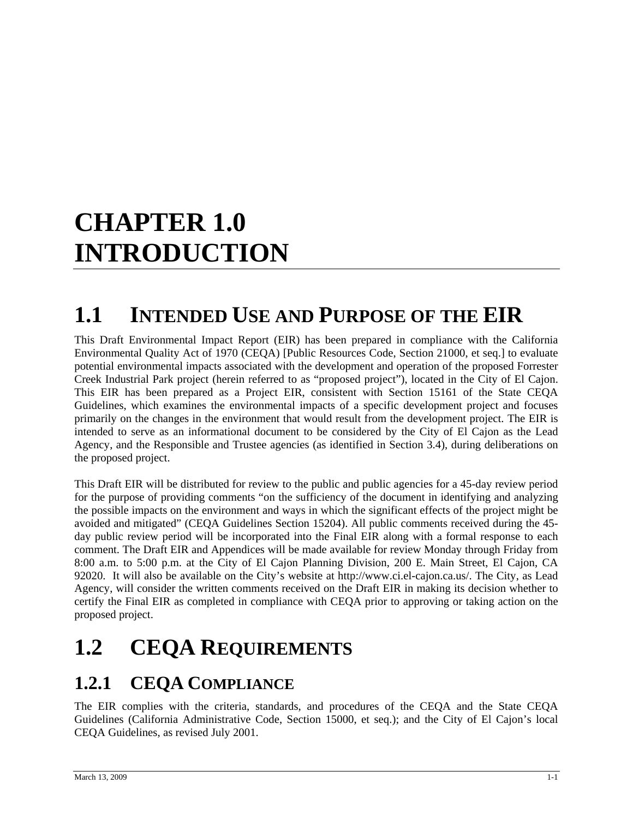# **CHAPTER 1.0 INTRODUCTION**

### **1.1 INTENDED USE AND PURPOSE OF THE EIR**

This Draft Environmental Impact Report (EIR) has been prepared in compliance with the California Environmental Quality Act of 1970 (CEQA) [Public Resources Code, Section 21000, et seq.] to evaluate potential environmental impacts associated with the development and operation of the proposed Forrester Creek Industrial Park project (herein referred to as "proposed project"), located in the City of El Cajon. This EIR has been prepared as a Project EIR, consistent with Section 15161 of the State CEQA Guidelines, which examines the environmental impacts of a specific development project and focuses primarily on the changes in the environment that would result from the development project. The EIR is intended to serve as an informational document to be considered by the City of El Cajon as the Lead Agency, and the Responsible and Trustee agencies (as identified in Section 3.4), during deliberations on the proposed project.

This Draft EIR will be distributed for review to the public and public agencies for a 45-day review period for the purpose of providing comments "on the sufficiency of the document in identifying and analyzing the possible impacts on the environment and ways in which the significant effects of the project might be avoided and mitigated" (CEQA Guidelines Section 15204). All public comments received during the 45 day public review period will be incorporated into the Final EIR along with a formal response to each comment. The Draft EIR and Appendices will be made available for review Monday through Friday from 8:00 a.m. to 5:00 p.m. at the City of El Cajon Planning Division, 200 E. Main Street, El Cajon, CA 92020. It will also be available on the City's website at http://www.ci.el-cajon.ca.us/. The City, as Lead Agency, will consider the written comments received on the Draft EIR in making its decision whether to certify the Final EIR as completed in compliance with CEQA prior to approving or taking action on the proposed project.

## **1.2 CEQA REQUIREMENTS**

#### **1.2.1 CEQA COMPLIANCE**

The EIR complies with the criteria, standards, and procedures of the CEQA and the State CEQA Guidelines (California Administrative Code, Section 15000, et seq.); and the City of El Cajon's local CEQA Guidelines, as revised July 2001.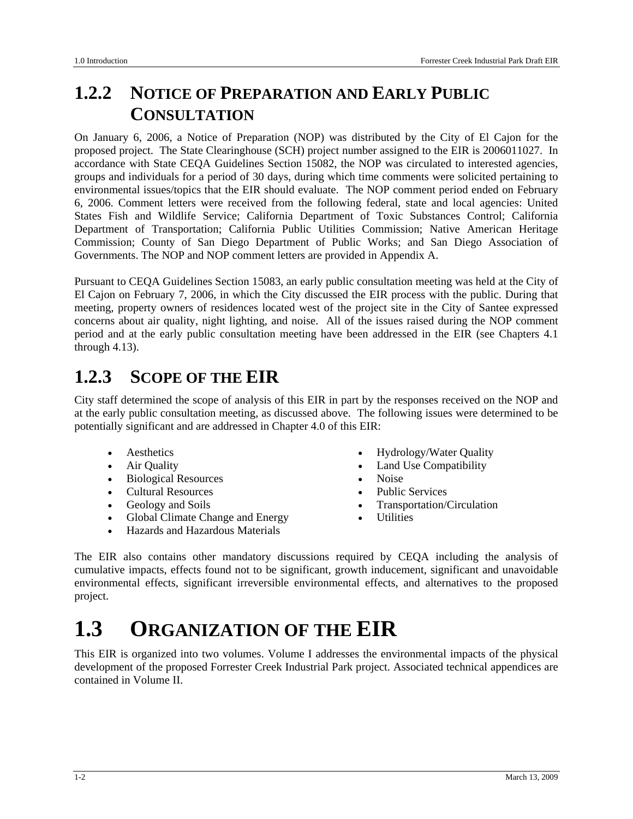#### **1.2.2 NOTICE OF PREPARATION AND EARLY PUBLIC CONSULTATION**

On January 6, 2006, a Notice of Preparation (NOP) was distributed by the City of El Cajon for the proposed project. The State Clearinghouse (SCH) project number assigned to the EIR is 2006011027. In accordance with State CEQA Guidelines Section 15082, the NOP was circulated to interested agencies, groups and individuals for a period of 30 days, during which time comments were solicited pertaining to environmental issues/topics that the EIR should evaluate. The NOP comment period ended on February 6, 2006. Comment letters were received from the following federal, state and local agencies: United States Fish and Wildlife Service; California Department of Toxic Substances Control; California Department of Transportation; California Public Utilities Commission; Native American Heritage Commission; County of San Diego Department of Public Works; and San Diego Association of Governments. The NOP and NOP comment letters are provided in Appendix A.

Pursuant to CEQA Guidelines Section 15083, an early public consultation meeting was held at the City of El Cajon on February 7, 2006, in which the City discussed the EIR process with the public. During that meeting, property owners of residences located west of the project site in the City of Santee expressed concerns about air quality, night lighting, and noise. All of the issues raised during the NOP comment period and at the early public consultation meeting have been addressed in the EIR (see Chapters 4.1 through 4.13).

#### **1.2.3 SCOPE OF THE EIR**

City staff determined the scope of analysis of this EIR in part by the responses received on the NOP and at the early public consultation meeting, as discussed above. The following issues were determined to be potentially significant and are addressed in Chapter 4.0 of this EIR:

- 
- 
- Biological Resources Noise
- Cultural Resources Public Services
- 
- Global Climate Change and Energy Utilities
- Hazards and Hazardous Materials
- Aesthetics Hydrology/Water Quality
- Air Quality Land Use Compatibility
	-
	-
	- Geology and Soils Transportation/Circulation
		-

The EIR also contains other mandatory discussions required by CEQA including the analysis of cumulative impacts, effects found not to be significant, growth inducement, significant and unavoidable environmental effects, significant irreversible environmental effects, and alternatives to the proposed project.

### **1.3 ORGANIZATION OF THE EIR**

This EIR is organized into two volumes. Volume I addresses the environmental impacts of the physical development of the proposed Forrester Creek Industrial Park project. Associated technical appendices are contained in Volume II.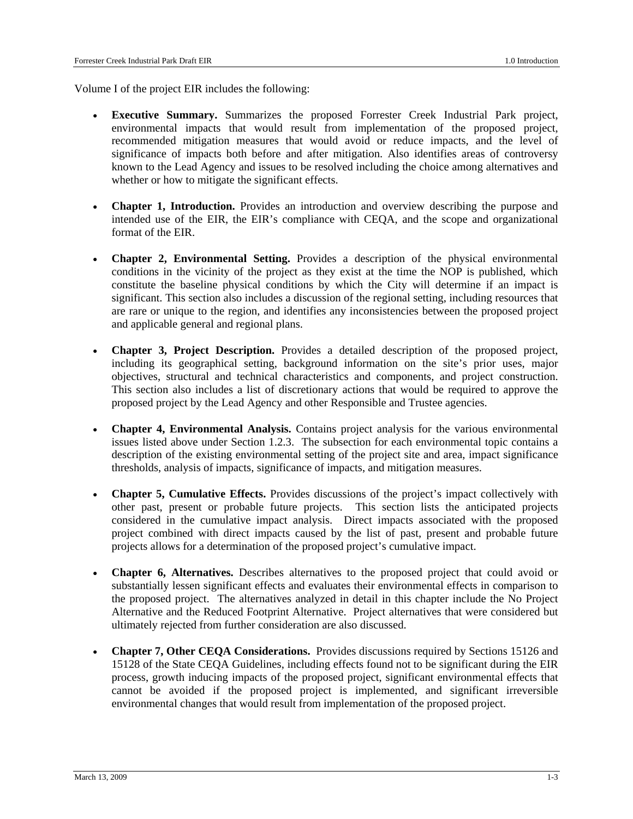Volume I of the project EIR includes the following:

- **Executive Summary.** Summarizes the proposed Forrester Creek Industrial Park project, environmental impacts that would result from implementation of the proposed project, recommended mitigation measures that would avoid or reduce impacts, and the level of significance of impacts both before and after mitigation. Also identifies areas of controversy known to the Lead Agency and issues to be resolved including the choice among alternatives and whether or how to mitigate the significant effects.
- **Chapter 1, Introduction.** Provides an introduction and overview describing the purpose and intended use of the EIR, the EIR's compliance with CEQA, and the scope and organizational format of the EIR.
- **Chapter 2, Environmental Setting.** Provides a description of the physical environmental conditions in the vicinity of the project as they exist at the time the NOP is published, which constitute the baseline physical conditions by which the City will determine if an impact is significant. This section also includes a discussion of the regional setting, including resources that are rare or unique to the region, and identifies any inconsistencies between the proposed project and applicable general and regional plans.
- **Chapter 3, Project Description.** Provides a detailed description of the proposed project, including its geographical setting, background information on the site's prior uses, major objectives, structural and technical characteristics and components, and project construction. This section also includes a list of discretionary actions that would be required to approve the proposed project by the Lead Agency and other Responsible and Trustee agencies.
- **Chapter 4, Environmental Analysis.** Contains project analysis for the various environmental issues listed above under Section 1.2.3. The subsection for each environmental topic contains a description of the existing environmental setting of the project site and area, impact significance thresholds, analysis of impacts, significance of impacts, and mitigation measures.
- **Chapter 5, Cumulative Effects.** Provides discussions of the project's impact collectively with other past, present or probable future projects. This section lists the anticipated projects considered in the cumulative impact analysis. Direct impacts associated with the proposed project combined with direct impacts caused by the list of past, present and probable future projects allows for a determination of the proposed project's cumulative impact.
- **Chapter 6, Alternatives.** Describes alternatives to the proposed project that could avoid or substantially lessen significant effects and evaluates their environmental effects in comparison to the proposed project. The alternatives analyzed in detail in this chapter include the No Project Alternative and the Reduced Footprint Alternative. Project alternatives that were considered but ultimately rejected from further consideration are also discussed.
- **Chapter 7, Other CEQA Considerations.** Provides discussions required by Sections 15126 and 15128 of the State CEQA Guidelines, including effects found not to be significant during the EIR process, growth inducing impacts of the proposed project, significant environmental effects that cannot be avoided if the proposed project is implemented, and significant irreversible environmental changes that would result from implementation of the proposed project.